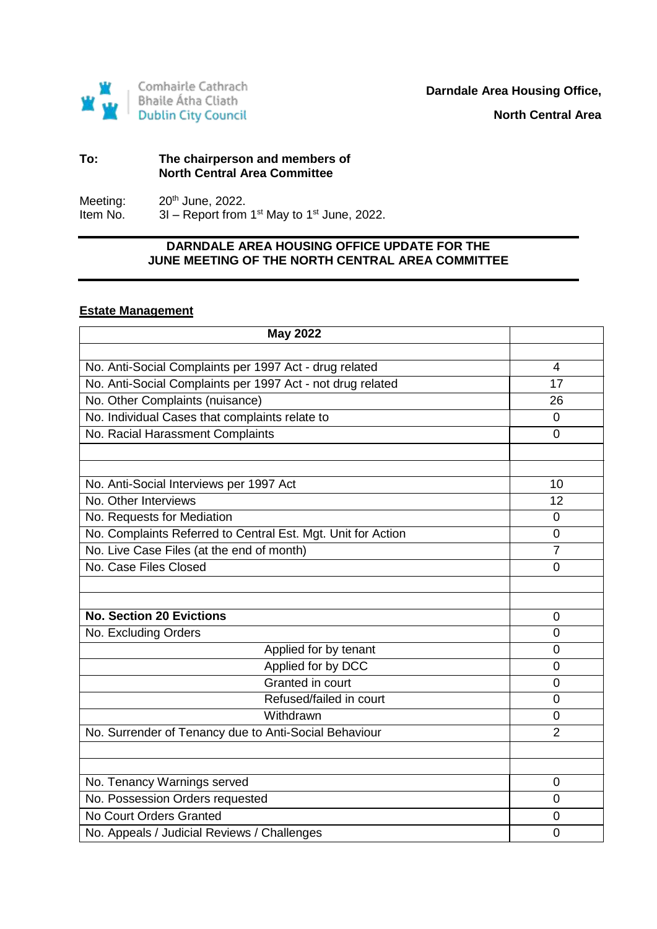

#### **To: The chairperson and members of North Central Area Committee**

Meeting:  $20^{th}$  June, 2022.<br>Item No.  $3I -$  Report from  $3I$  – Report from 1st May to 1st June, 2022.

# **DARNDALE AREA HOUSING OFFICE UPDATE FOR THE JUNE MEETING OF THE NORTH CENTRAL AREA COMMITTEE**

# **Estate Management**

| <b>May 2022</b>                                              |                |
|--------------------------------------------------------------|----------------|
|                                                              |                |
| No. Anti-Social Complaints per 1997 Act - drug related       | 4              |
| No. Anti-Social Complaints per 1997 Act - not drug related   | 17             |
| No. Other Complaints (nuisance)                              | 26             |
| No. Individual Cases that complaints relate to               | 0              |
| No. Racial Harassment Complaints                             | $\Omega$       |
|                                                              |                |
|                                                              |                |
| No. Anti-Social Interviews per 1997 Act                      | 10             |
| No. Other Interviews                                         | 12             |
| No. Requests for Mediation                                   | 0              |
| No. Complaints Referred to Central Est. Mgt. Unit for Action | 0              |
| No. Live Case Files (at the end of month)                    | $\overline{7}$ |
| No. Case Files Closed                                        | $\overline{0}$ |
|                                                              |                |
|                                                              |                |
| <b>No. Section 20 Evictions</b>                              | 0              |
| No. Excluding Orders                                         | 0              |
| Applied for by tenant                                        | 0              |
| Applied for by DCC                                           | 0              |
| Granted in court                                             | $\Omega$       |
| Refused/failed in court                                      | 0              |
| Withdrawn                                                    | 0              |
| No. Surrender of Tenancy due to Anti-Social Behaviour        | $\overline{2}$ |
|                                                              |                |
|                                                              |                |
| No. Tenancy Warnings served                                  | 0              |
| No. Possession Orders requested                              | 0              |
| No Court Orders Granted                                      | 0              |
| No. Appeals / Judicial Reviews / Challenges                  | 0              |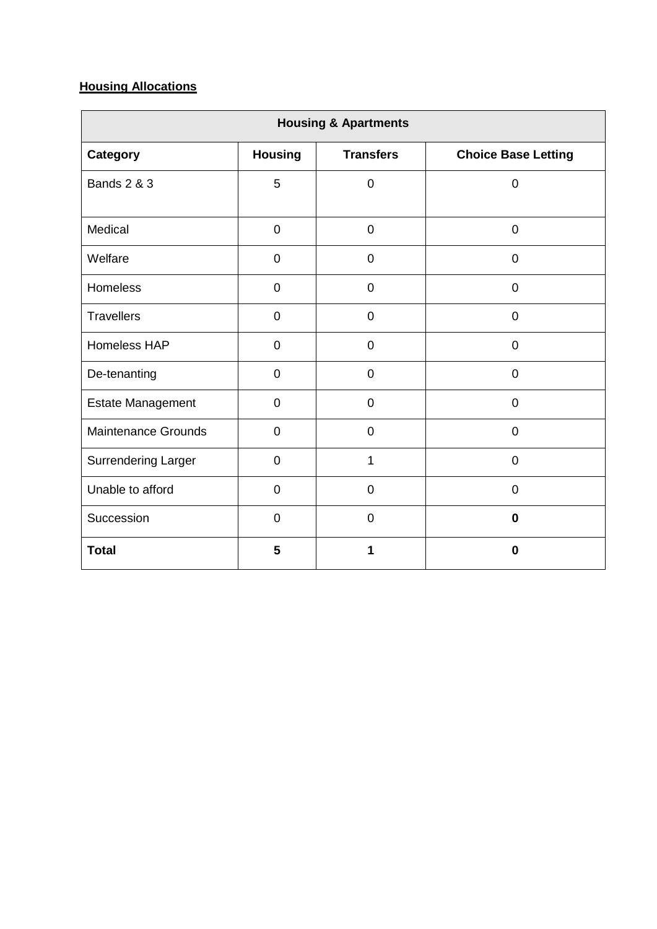# **Housing Allocations**

| <b>Housing &amp; Apartments</b> |                |                  |                            |
|---------------------------------|----------------|------------------|----------------------------|
| <b>Category</b>                 | <b>Housing</b> | <b>Transfers</b> | <b>Choice Base Letting</b> |
| <b>Bands 2 &amp; 3</b>          | 5              | $\overline{0}$   | $\overline{0}$             |
| Medical                         | $\mathbf 0$    | $\overline{0}$   | $\overline{0}$             |
| Welfare                         | $\mathbf 0$    | $\mathbf 0$      | $\overline{0}$             |
| <b>Homeless</b>                 | 0              | $\overline{0}$   | $\overline{0}$             |
| <b>Travellers</b>               | $\mathbf 0$    | $\overline{0}$   | $\overline{0}$             |
| Homeless HAP                    | $\mathbf 0$    | $\overline{0}$   | $\mathbf 0$                |
| De-tenanting                    | $\overline{0}$ | $\overline{0}$   | $\overline{0}$             |
| <b>Estate Management</b>        | $\mathbf 0$    | $\mathbf 0$      | $\overline{0}$             |
| <b>Maintenance Grounds</b>      | $\overline{0}$ | $\overline{0}$   | $\overline{0}$             |
| <b>Surrendering Larger</b>      | $\mathbf 0$    | $\mathbf{1}$     | $\overline{0}$             |
| Unable to afford                | $\mathbf 0$    | $\overline{0}$   | $\overline{0}$             |
| Succession                      | $\overline{0}$ | $\overline{0}$   | $\bf{0}$                   |
| <b>Total</b>                    | 5              |                  | $\bf{0}$                   |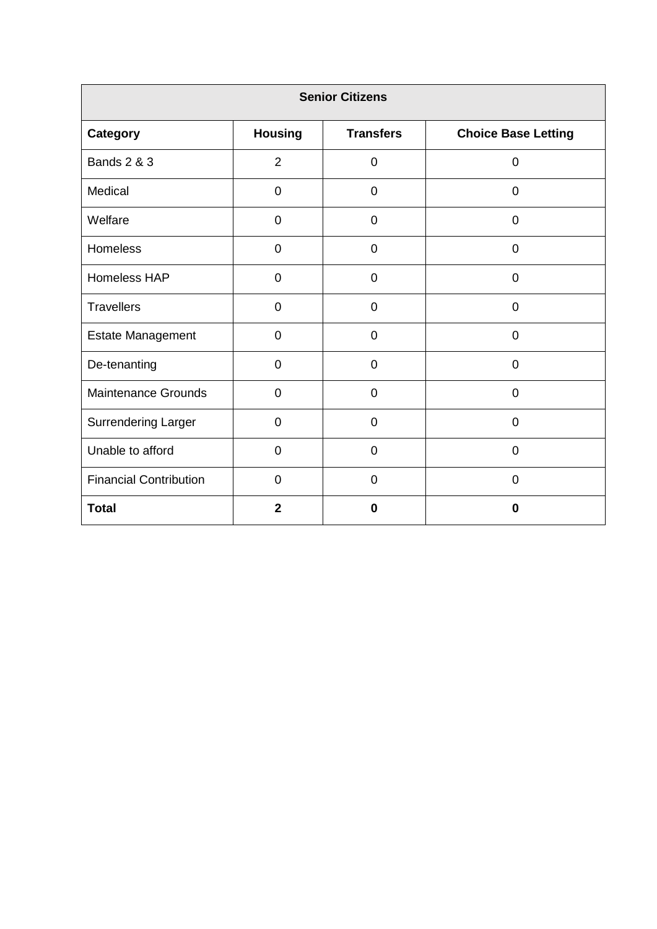| <b>Senior Citizens</b>        |                |                  |                            |
|-------------------------------|----------------|------------------|----------------------------|
| <b>Category</b>               | <b>Housing</b> | <b>Transfers</b> | <b>Choice Base Letting</b> |
| <b>Bands 2 &amp; 3</b>        | $\overline{2}$ | 0                | 0                          |
| Medical                       | $\mathbf 0$    | 0                | $\mathbf 0$                |
| Welfare                       | 0              | 0                | $\overline{0}$             |
| Homeless                      | $\mathbf 0$    | $\mathbf 0$      | $\mathbf 0$                |
| Homeless HAP                  | 0              | 0                | $\overline{0}$             |
| <b>Travellers</b>             | $\mathbf 0$    | $\overline{0}$   | $\overline{0}$             |
| <b>Estate Management</b>      | $\overline{0}$ | $\overline{0}$   | $\mathbf 0$                |
| De-tenanting                  | 0              | 0                | 0                          |
| <b>Maintenance Grounds</b>    | $\mathbf 0$    | $\mathbf 0$      | $\overline{0}$             |
| <b>Surrendering Larger</b>    | $\overline{0}$ | 0                | $\overline{0}$             |
| Unable to afford              | $\mathbf 0$    | $\overline{0}$   | $\mathbf 0$                |
| <b>Financial Contribution</b> | $\overline{0}$ | $\overline{0}$   | $\overline{0}$             |
| <b>Total</b>                  | $\overline{2}$ | $\bf{0}$         | $\bf{0}$                   |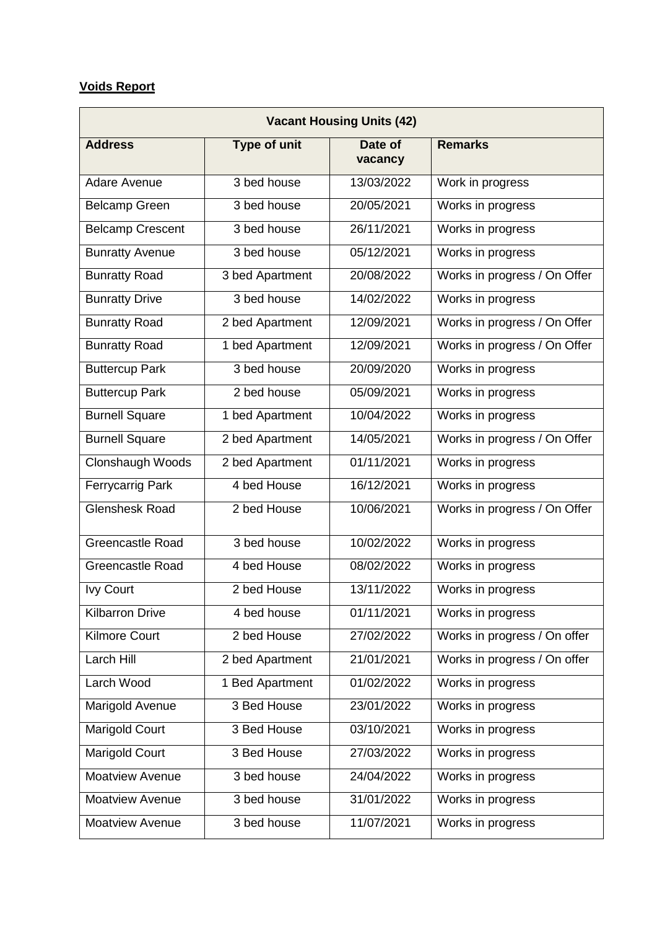# **Voids Report**

| <b>Vacant Housing Units (42)</b> |                     |                    |                              |
|----------------------------------|---------------------|--------------------|------------------------------|
| <b>Address</b>                   | <b>Type of unit</b> | Date of<br>vacancy | <b>Remarks</b>               |
| Adare Avenue                     | 3 bed house         | 13/03/2022         | Work in progress             |
| <b>Belcamp Green</b>             | 3 bed house         | 20/05/2021         | Works in progress            |
| <b>Belcamp Crescent</b>          | 3 bed house         | 26/11/2021         | Works in progress            |
| <b>Bunratty Avenue</b>           | 3 bed house         | 05/12/2021         | Works in progress            |
| <b>Bunratty Road</b>             | 3 bed Apartment     | 20/08/2022         | Works in progress / On Offer |
| <b>Bunratty Drive</b>            | 3 bed house         | 14/02/2022         | Works in progress            |
| <b>Bunratty Road</b>             | 2 bed Apartment     | 12/09/2021         | Works in progress / On Offer |
| <b>Bunratty Road</b>             | 1 bed Apartment     | 12/09/2021         | Works in progress / On Offer |
| <b>Buttercup Park</b>            | 3 bed house         | 20/09/2020         | Works in progress            |
| <b>Buttercup Park</b>            | 2 bed house         | 05/09/2021         | Works in progress            |
| <b>Burnell Square</b>            | 1 bed Apartment     | 10/04/2022         | Works in progress            |
| <b>Burnell Square</b>            | 2 bed Apartment     | 14/05/2021         | Works in progress / On Offer |
| Clonshaugh Woods                 | 2 bed Apartment     | 01/11/2021         | Works in progress            |
| <b>Ferrycarrig Park</b>          | 4 bed House         | 16/12/2021         | Works in progress            |
| <b>Glenshesk Road</b>            | 2 bed House         | 10/06/2021         | Works in progress / On Offer |
| <b>Greencastle Road</b>          | 3 bed house         | 10/02/2022         | Works in progress            |
| <b>Greencastle Road</b>          | 4 bed House         | 08/02/2022         | Works in progress            |
| <b>Ivy Court</b>                 | 2 bed House         | 13/11/2022         | Works in progress            |
| <b>Kilbarron Drive</b>           | 4 bed house         | 01/11/2021         | Works in progress            |
| <b>Kilmore Court</b>             | 2 bed House         | 27/02/2022         | Works in progress / On offer |
| Larch Hill                       | 2 bed Apartment     | 21/01/2021         | Works in progress / On offer |
| Larch Wood                       | 1 Bed Apartment     | 01/02/2022         | Works in progress            |
| Marigold Avenue                  | 3 Bed House         | 23/01/2022         | Works in progress            |
| <b>Marigold Court</b>            | 3 Bed House         | 03/10/2021         | Works in progress            |
| Marigold Court                   | 3 Bed House         | 27/03/2022         | Works in progress            |
| <b>Moatview Avenue</b>           | 3 bed house         | 24/04/2022         | Works in progress            |
| <b>Moatview Avenue</b>           | 3 bed house         | 31/01/2022         | Works in progress            |
| Moatview Avenue                  | 3 bed house         | 11/07/2021         | Works in progress            |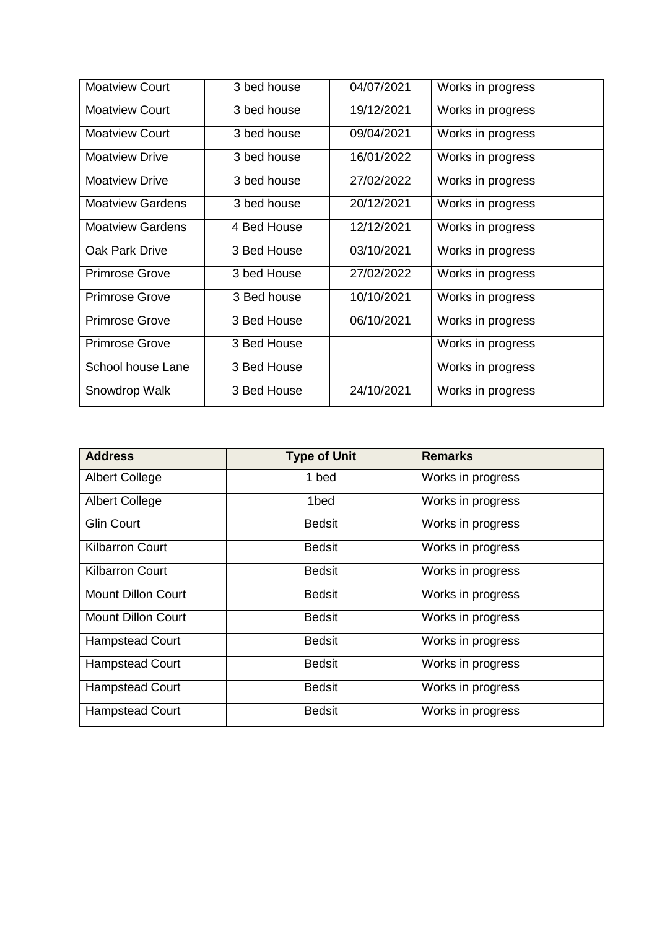| <b>Moatview Court</b>   | 3 bed house | 04/07/2021 | Works in progress |
|-------------------------|-------------|------------|-------------------|
| <b>Moatview Court</b>   | 3 bed house | 19/12/2021 | Works in progress |
| <b>Moatview Court</b>   | 3 bed house | 09/04/2021 | Works in progress |
| <b>Moatview Drive</b>   | 3 bed house | 16/01/2022 | Works in progress |
| <b>Moatview Drive</b>   | 3 bed house | 27/02/2022 | Works in progress |
| <b>Moatview Gardens</b> | 3 bed house | 20/12/2021 | Works in progress |
| <b>Moatview Gardens</b> | 4 Bed House | 12/12/2021 | Works in progress |
| <b>Oak Park Drive</b>   | 3 Bed House | 03/10/2021 | Works in progress |
| <b>Primrose Grove</b>   | 3 bed House | 27/02/2022 | Works in progress |
| <b>Primrose Grove</b>   | 3 Bed house | 10/10/2021 | Works in progress |
| <b>Primrose Grove</b>   | 3 Bed House | 06/10/2021 | Works in progress |
| <b>Primrose Grove</b>   | 3 Bed House |            | Works in progress |
| School house Lane       | 3 Bed House |            | Works in progress |
| Snowdrop Walk           | 3 Bed House | 24/10/2021 | Works in progress |

| <b>Address</b>            | <b>Type of Unit</b> | <b>Remarks</b>    |
|---------------------------|---------------------|-------------------|
| <b>Albert College</b>     | 1 bed               | Works in progress |
| <b>Albert College</b>     | 1bed                | Works in progress |
| <b>Glin Court</b>         | <b>Bedsit</b>       | Works in progress |
| <b>Kilbarron Court</b>    | <b>Bedsit</b>       | Works in progress |
| <b>Kilbarron Court</b>    | <b>Bedsit</b>       | Works in progress |
| <b>Mount Dillon Court</b> | <b>Bedsit</b>       | Works in progress |
| <b>Mount Dillon Court</b> | <b>Bedsit</b>       | Works in progress |
| <b>Hampstead Court</b>    | <b>Bedsit</b>       | Works in progress |
| <b>Hampstead Court</b>    | <b>Bedsit</b>       | Works in progress |
| <b>Hampstead Court</b>    | <b>Bedsit</b>       | Works in progress |
| <b>Hampstead Court</b>    | <b>Bedsit</b>       | Works in progress |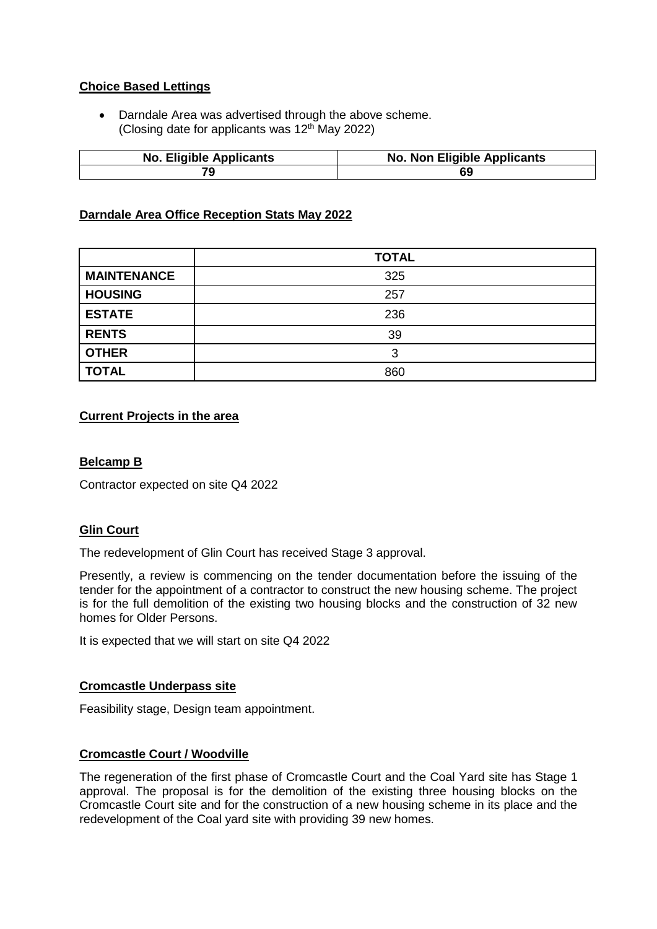# **Choice Based Lettings**

 Darndale Area was advertised through the above scheme. (Closing date for applicants was  $12<sup>th</sup>$  May 2022)

| <b>No. Eligible Applicants</b> | <b>No. Non Eligible Applicants</b> |
|--------------------------------|------------------------------------|
|                                |                                    |

# **Darndale Area Office Reception Stats May 2022**

|                    | <b>TOTAL</b> |
|--------------------|--------------|
| <b>MAINTENANCE</b> | 325          |
| <b>HOUSING</b>     | 257          |
| <b>ESTATE</b>      | 236          |
| <b>RENTS</b>       | 39           |
| <b>OTHER</b>       | 3            |
| <b>TOTAL</b>       | 860          |

#### **Current Projects in the area**

# **Belcamp B**

Contractor expected on site Q4 2022

# **Glin Court**

The redevelopment of Glin Court has received Stage 3 approval.

Presently, a review is commencing on the tender documentation before the issuing of the tender for the appointment of a contractor to construct the new housing scheme. The project is for the full demolition of the existing two housing blocks and the construction of 32 new homes for Older Persons.

It is expected that we will start on site Q4 2022

# **Cromcastle Underpass site**

Feasibility stage, Design team appointment.

# **Cromcastle Court / Woodville**

The regeneration of the first phase of Cromcastle Court and the Coal Yard site has Stage 1 approval. The proposal is for the demolition of the existing three housing blocks on the Cromcastle Court site and for the construction of a new housing scheme in its place and the redevelopment of the Coal yard site with providing 39 new homes.